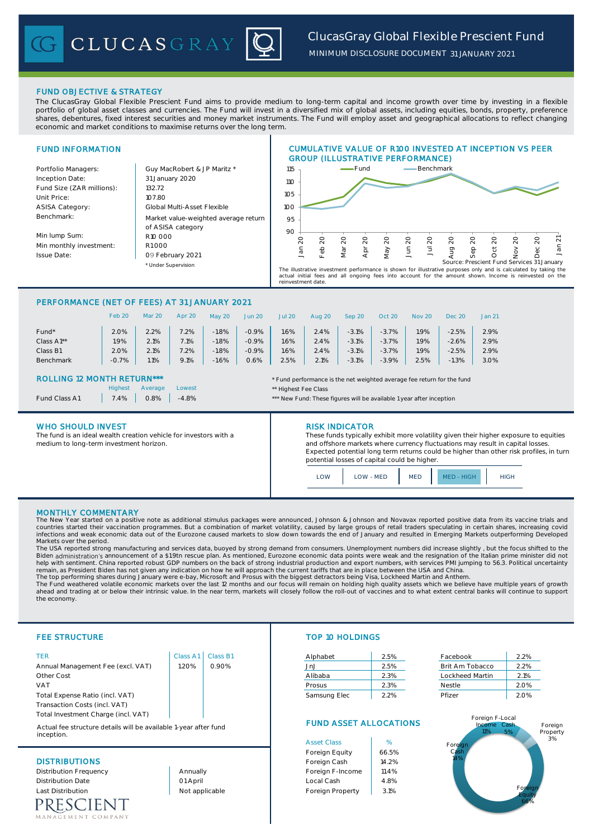# FUND OBJECTIVE & STRATEGY

The ClucasGray Global Flexible Prescient Fund aims to provide medium to long-term capital and income growth over time by investing in a flexible portfolio of global asset classes and currencies. The Fund will invest in a diversified mix of global assets, including equities, bonds, property, preference shares, debentures, fixed interest securities and money market instruments. The Fund will employ asset and geographical allocations to reflect changing economic and market conditions to maximise returns over the long term.

# FUND INFORMATION

Inception Date: Fund Size (ZAR millions): | 132.72 Unit Price: 107.80 ASISA Category: Benchmark:

Min lump Sum: Min monthly investment: Issue Date:

Portfolio Managers: Carl Guy MacRobert & JP Maritz \* Under Supervision Global Multi-Asset Flexible Market value-weighted average return of ASISA category R10 000 R1 000 09 February 2021 31 January 2020



CUMULATIVE VALUE OF R100 INVESTED AT INCEPTION VS PEER

The illustrative investment performance is shown for illustrative purposes only and is calculated by taking the<br>actual initial fees and all ongoing fees into account for the amount shown. Income is reinvested on the<br>reinve

# PERFORMANCE (NET OF FEES) AT 31 JANUARY 2021

|            | Feb 20  | <b>Mar 20</b> | Apr 20 | May 20  | <b>Jun 20</b> | <b>Jul 20</b> | Aug 20 | Sep 20  | Oct 20  | <b>Nov 20</b> | <b>Dec 20</b> | <b>Jan 21</b> |
|------------|---------|---------------|--------|---------|---------------|---------------|--------|---------|---------|---------------|---------------|---------------|
| Fund*      | 2.0%    | 2.2%          | 7.2%   | $-1.8%$ | $-0.9%$       | .6%           | 2.4%   | $-3.1%$ | $-3.7%$ | 1.9%          | $-2.5%$       | 2.9%          |
| Class A1** | 1.9%    | 2.1%          | 7.1%   | $-1.8%$ | $-0.9%$       | .6%           | 2.4%   | $-3.1%$ | $-3.7%$ | .9%           | $-2.6%$       | 2.9%          |
| Class B1   | 2.0%    | 2.1%          | 7.2%   | $-1.8%$ | $-0.9%$       | .6%           | 2.4%   | $-3.1%$ | $-3.7%$ | 1.9%          | $-2.5%$       | 2.9%          |
| Benchmark  | $-0.7%$ | 1.1%          | 9.1%   | $-1.6%$ | 0.6%          | 2.5%          | 2.1%   | $-3.1%$ | $-3.9%$ | 2.5%          | $-1.3%$       | 3.0%          |

Lowest **Lowest Lowest Lowest 1999** 

# ROLLING 12 MONTH RETURN\*\*\* \* Fund performance is the net weighted average fee return for the fund

|               | Highest | <b>Avera</b> |
|---------------|---------|--------------|
| Fund Class A1 | 7.4%    | O.8%         |

## WHO SHOULD INVEST **RISK INDICATOR**

The fund is an ideal wealth creation vehicle for investors with a medium to long-term investment horizon.

-4.8% - A1 7.8% - Tund: These figures will be available 1 year after inception

These funds typically exhibit more volatility given their higher exposure to equities and offshore markets where currency fluctuations may result in capital losses. Expected potential long term returns could be higher than other risk profiles, in turn potential losses of capital could be higher.

LOW LOW MED MED MED HIGH HIGH

## MONTHLY COMMENTARY

The New Year started on a positive note as additional stimulus packages were announced, Johnson & Johnson and Novavax reported positive data from its vaccine trials and countries started their vaccination programmes. But a combination of market volatility, caused by large groups of retail traders speculating in certain shares, increasing covid<br>infections and weak economic data out of the Markets over the period.

The USA reported strong manufacturing and services data, buoyed by strong demand from consumers. Unemployment numbers did increase slightly , but the focus shifted to the Biden administration's announcement of a \$1.9tn rescue plan. As mentioned, Eurozone economic data points were weak and the resignation of the Italian prime minister did not<br>help with sentiment. China reported robust GDP nu remain, as President Biden has not given any indication on how he will approach the current tariffs that are in place between the USA and China.

The top performing shares during January were e-bay, Microsoft and Prosus with the biggest detractors being Visa, Lockheed Martin and Anthem.<br>The Fund weathered volatile economic markets over the last 12 months and our foc ahead and trading at or below their intrinsic value. In the near term, markets will closely follow the roll-out of vaccines and to what extent central banks will continue to support the economy.

Annual Management Fee (excl. VAT) 1.20% 0.90% Other Cost 0.00% 0.00% Alibaba 2.3% Lockheed Martin 2.1% VAT 0.00% 0.00% Prosus 2.3% Nestle 2.0% Total Expense Ratio (incl. VAT) Transaction Costs (incl. VAT) Total Investment Charge (incl. VAT)

Actual fee structure details will be available 1-year after fund inception.

RESCIENT MENT COMPANY

# FEE STRUCTURE TOP 10 HOLDINGS

| TER                               |      | Class A1   Class B1 | Alphabet     | 2.5% | Facebook        | 2.2% |
|-----------------------------------|------|---------------------|--------------|------|-----------------|------|
| Annual Management Fee (excl. VAT) | .20% | 0.90%               |              | 2.5% | Brit Am Tobacco | 2.2% |
| Other Cost                        |      |                     | Alibaba      | 2.3% | Lockheed Martin | 2.1% |
| VAT                               |      |                     | Prosus       | 2.3% | Nestle          | 2.0% |
| Total Expense Ratio (incl. VAT)   |      |                     | Samsung Elec | 2.2% | Pfizer          | 2.0% |
|                                   |      |                     |              |      |                 |      |

| Facebook        | 2.2% |
|-----------------|------|
| Brit Am Tobacco | 2.2% |
| Lockheed Martin | 2.1% |
| Nestle          | 2.0% |
| Pfizer          | 20%  |

# FUND ASSET ALLOCATIONS

|                          |                | <b>Asset Class</b> | %     |
|--------------------------|----------------|--------------------|-------|
|                          |                | Foreign Equity     | 66.5% |
| <b>DISTRIBUTIONS</b>     | Foreign Cash   | 14.2%              |       |
| Distribution Frequency   | Annually       | Foreign F-Income   | 11.4% |
| <b>Distribution Date</b> | 01 April       | Local Cash         | 4.8%  |
| <b>Last Distribution</b> | Not applicable | Foreign Property   | 3.1%  |